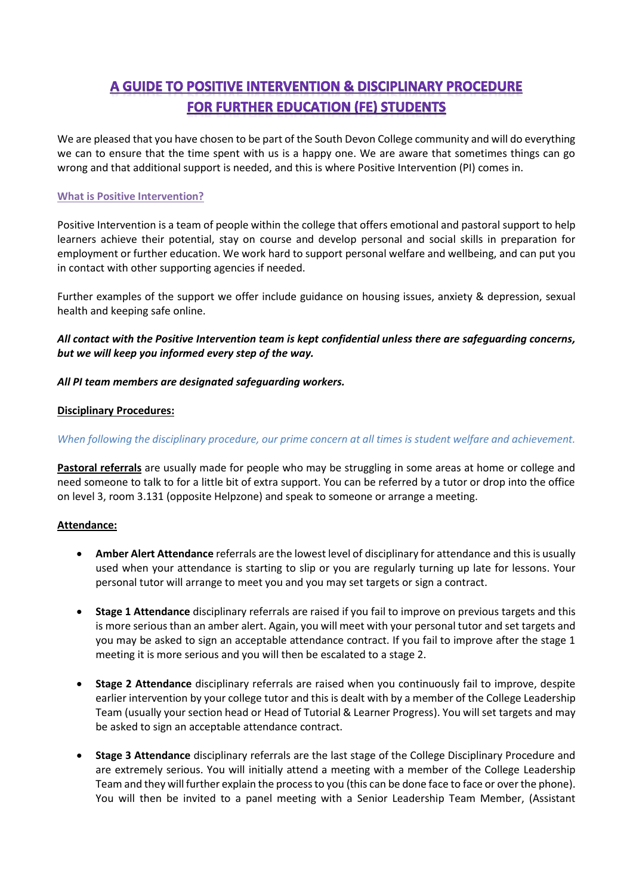# A GUIDE TO POSITIVE INTERVENTION & DISCIPLINARY PROCEDURE **FOR FURTHER EDUCATION (FE) STUDENTS**

We are pleased that you have chosen to be part of the South Devon College community and will do everything we can to ensure that the time spent with us is a happy one. We are aware that sometimes things can go wrong and that additional support is needed, and this is where Positive Intervention (PI) comes in.

# **What is Positive Intervention?**

Positive Intervention is a team of people within the college that offers emotional and pastoral support to help learners achieve their potential, stay on course and develop personal and social skills in preparation for employment or further education. We work hard to support personal welfare and wellbeing, and can put you in contact with other supporting agencies if needed.

Further examples of the support we offer include guidance on housing issues, anxiety & depression, sexual health and keeping safe online.

*All contact with the Positive Intervention team is kept confidential unless there are safeguarding concerns, but we will keep you informed every step of the way.*

## *All PI team members are designated safeguarding workers.*

## **Disciplinary Procedures:**

### *When following the disciplinary procedure, our prime concern at all times is student welfare and achievement.*

**Pastoral referrals** are usually made for people who may be struggling in some areas at home or college and need someone to talk to for a little bit of extra support. You can be referred by a tutor or drop into the office on level 3, room 3.131 (opposite Helpzone) and speak to someone or arrange a meeting.

#### **Attendance:**

- **Amber Alert Attendance** referrals are the lowest level of disciplinary for attendance and this is usually used when your attendance is starting to slip or you are regularly turning up late for lessons. Your personal tutor will arrange to meet you and you may set targets or sign a contract.
- **Stage 1 Attendance** disciplinary referrals are raised if you fail to improve on previous targets and this is more serious than an amber alert. Again, you will meet with your personal tutor and set targets and you may be asked to sign an acceptable attendance contract. If you fail to improve after the stage 1 meeting it is more serious and you will then be escalated to a stage 2.
- **Stage 2 Attendance** disciplinary referrals are raised when you continuously fail to improve, despite earlier intervention by your college tutor and this is dealt with by a member of the College Leadership Team (usually your section head or Head of Tutorial & Learner Progress). You will set targets and may be asked to sign an acceptable attendance contract.
- **Stage 3 Attendance** disciplinary referrals are the last stage of the College Disciplinary Procedure and are extremely serious. You will initially attend a meeting with a member of the College Leadership Team and they will further explain the process to you (this can be done face to face or over the phone). You will then be invited to a panel meeting with a Senior Leadership Team Member, (Assistant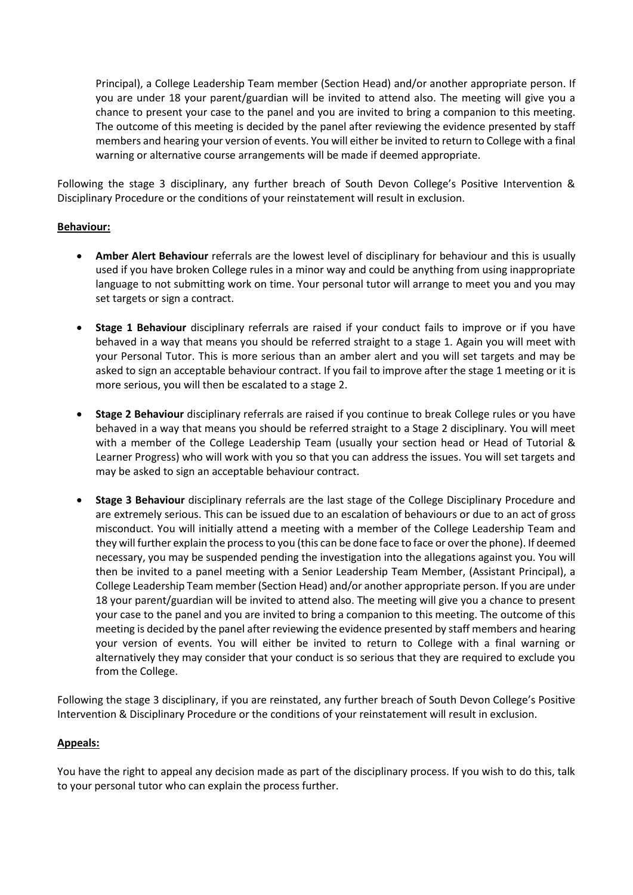Principal), a College Leadership Team member (Section Head) and/or another appropriate person. If you are under 18 your parent/guardian will be invited to attend also. The meeting will give you a chance to present your case to the panel and you are invited to bring a companion to this meeting. The outcome of this meeting is decided by the panel after reviewing the evidence presented by staff members and hearing your version of events. You will either be invited to return to College with a final warning or alternative course arrangements will be made if deemed appropriate.

Following the stage 3 disciplinary, any further breach of South Devon College's Positive Intervention & Disciplinary Procedure or the conditions of your reinstatement will result in exclusion.

# **Behaviour:**

- **Amber Alert Behaviour** referrals are the lowest level of disciplinary for behaviour and this is usually used if you have broken College rules in a minor way and could be anything from using inappropriate language to not submitting work on time. Your personal tutor will arrange to meet you and you may set targets or sign a contract.
- **Stage 1 Behaviour** disciplinary referrals are raised if your conduct fails to improve or if you have behaved in a way that means you should be referred straight to a stage 1. Again you will meet with your Personal Tutor. This is more serious than an amber alert and you will set targets and may be asked to sign an acceptable behaviour contract. If you fail to improve after the stage 1 meeting or it is more serious, you will then be escalated to a stage 2.
- **Stage 2 Behaviour** disciplinary referrals are raised if you continue to break College rules or you have behaved in a way that means you should be referred straight to a Stage 2 disciplinary. You will meet with a member of the College Leadership Team (usually your section head or Head of Tutorial & Learner Progress) who will work with you so that you can address the issues. You will set targets and may be asked to sign an acceptable behaviour contract.
- **Stage 3 Behaviour** disciplinary referrals are the last stage of the College Disciplinary Procedure and are extremely serious. This can be issued due to an escalation of behaviours or due to an act of gross misconduct. You will initially attend a meeting with a member of the College Leadership Team and they will further explain the process to you (this can be done face to face or over the phone). If deemed necessary, you may be suspended pending the investigation into the allegations against you. You will then be invited to a panel meeting with a Senior Leadership Team Member, (Assistant Principal), a College Leadership Team member (Section Head) and/or another appropriate person. If you are under 18 your parent/guardian will be invited to attend also. The meeting will give you a chance to present your case to the panel and you are invited to bring a companion to this meeting. The outcome of this meeting is decided by the panel after reviewing the evidence presented by staff members and hearing your version of events. You will either be invited to return to College with a final warning or alternatively they may consider that your conduct is so serious that they are required to exclude you from the College.

Following the stage 3 disciplinary, if you are reinstated, any further breach of South Devon College's Positive Intervention & Disciplinary Procedure or the conditions of your reinstatement will result in exclusion.

## **Appeals:**

You have the right to appeal any decision made as part of the disciplinary process. If you wish to do this, talk to your personal tutor who can explain the process further.